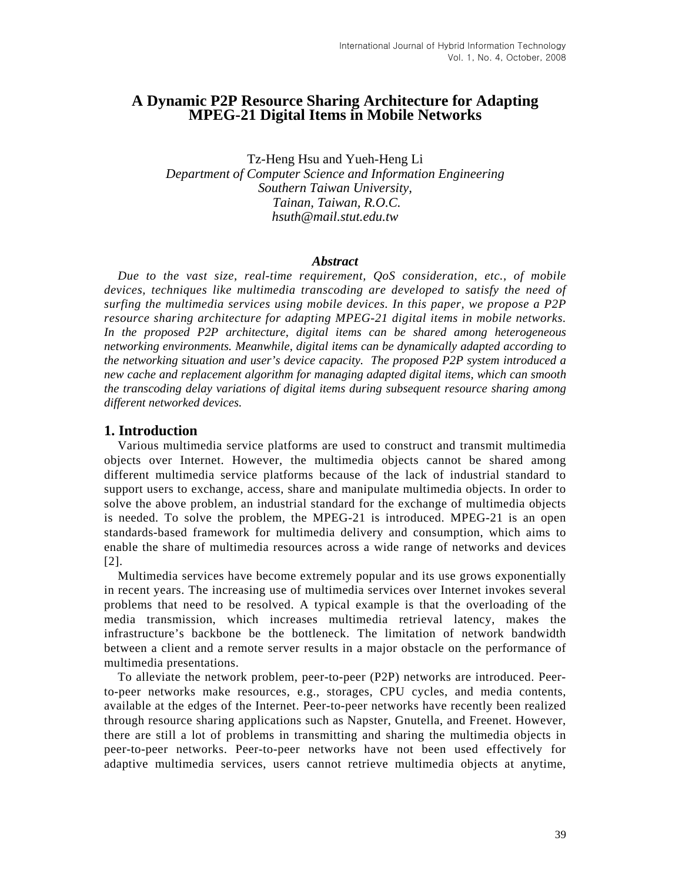# **A Dynamic P2P Resource Sharing Architecture for Adapting MPEG-21 Digital Items in Mobile Networks**

Tz-Heng Hsu and Yueh-Heng Li *Department of Computer Science and Information Engineering Southern Taiwan University, Tainan, Taiwan, R.O.C. hsuth@mail.stut.edu.tw* 

#### *Abstract*

*Due to the vast size, real-time requirement, QoS consideration, etc., of mobile*  devices, techniques like multimedia transcoding are developed to satisfy the need of *surfing the multimedia services using mobile devices. In this paper, we propose a P2P resource sharing architecture for adapting MPEG-21 digital items in mobile networks. In the proposed P2P architecture, digital items can be shared among heterogeneous networking environments. Meanwhile, digital items can be dynamically adapted according to the networking situation and user's device capacity. The proposed P2P system introduced a new cache and replacement algorithm for managing adapted digital items, which can smooth the transcoding delay variations of digital items during subsequent resource sharing among different networked devices.* 

### **1. Introduction**

Various multimedia service platforms are used to construct and transmit multimedia objects over Internet. However, the multimedia objects cannot be shared among different multimedia service platforms because of the lack of industrial standard to support users to exchange, access, share and manipulate multimedia objects. In order to solve the above problem, an industrial standard for the exchange of multimedia objects is needed. To solve the problem, the MPEG-21 is introduced. MPEG-21 is an open standards-based framework for multimedia delivery and consumption, which aims to enable the share of multimedia resources across a wide range of networks and devices [2].

Multimedia services have become extremely popular and its use grows exponentially in recent years. The increasing use of multimedia services over Internet invokes several problems that need to be resolved. A typical example is that the overloading of the media transmission, which increases multimedia retrieval latency, makes the infrastructure's backbone be the bottleneck. The limitation of network bandwidth between a client and a remote server results in a major obstacle on the performance of multimedia presentations.

To alleviate the network problem, peer-to-peer (P2P) networks are introduced. Peerto-peer networks make resources, e.g., storages, CPU cycles, and media contents, available at the edges of the Internet. Peer-to-peer networks have recently been realized through resource sharing applications such as Napster, Gnutella, and Freenet. However, there are still a lot of problems in transmitting and sharing the multimedia objects in peer-to-peer networks. Peer-to-peer networks have not been used effectively for adaptive multimedia services, users cannot retrieve multimedia objects at anytime,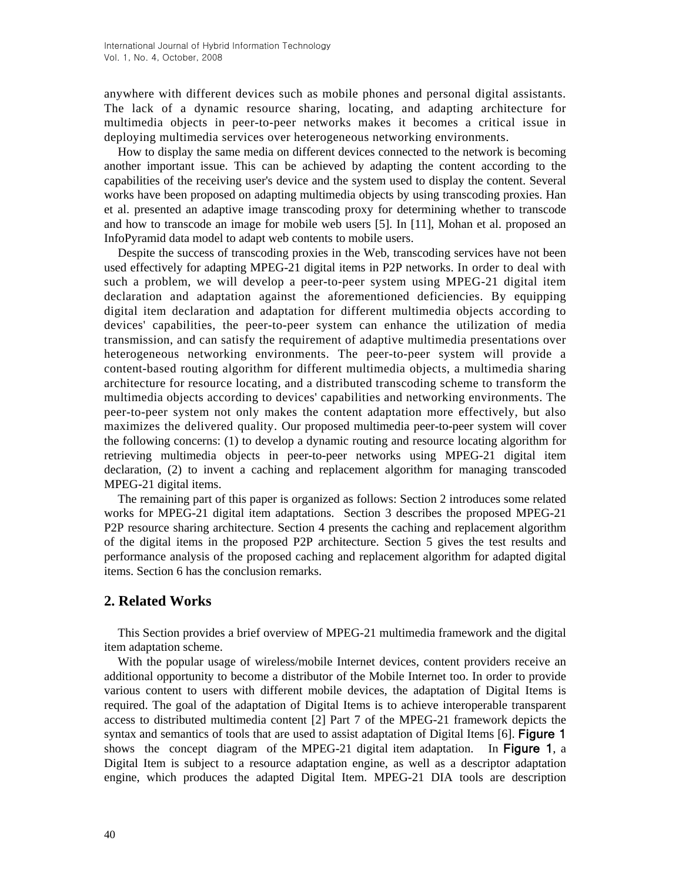anywhere with different devices such as mobile phones and personal digital assistants. The lack of a dynamic resource sharing, locating, and adapting architecture for multimedia objects in peer-to-peer networks makes it becomes a critical issue in deploying multimedia services over heterogeneous networking environments.

How to display the same media on different devices connected to the network is becoming another important issue. This can be achieved by adapting the content according to the capabilities of the receiving user's device and the system used to display the content. Several works have been proposed on adapting multimedia objects by using transcoding proxies. Han et al. presented an adaptive image transcoding proxy for determining whether to transcode and how to transcode an image for mobile web users [5]. In [11], Mohan et al. proposed an InfoPyramid data model to adapt web contents to mobile users.

Despite the success of transcoding proxies in the Web, transcoding services have not been used effectively for adapting MPEG-21 digital items in P2P networks. In order to deal with such a problem, we will develop a peer-to-peer system using MPEG-21 digital item declaration and adaptation against the aforementioned deficiencies. By equipping digital item declaration and adaptation for different multimedia objects according to devices' capabilities, the peer-to-peer system can enhance the utilization of media transmission, and can satisfy the requirement of adaptive multimedia presentations over heterogeneous networking environments. The peer-to-peer system will provide a content-based routing algorithm for different multimedia objects, a multimedia sharing architecture for resource locating, and a distributed transcoding scheme to transform the multimedia objects according to devices' capabilities and networking environments. The peer-to-peer system not only makes the content adaptation more effectively, but also maximizes the delivered quality. Our proposed multimedia peer-to-peer system will cover the following concerns: (1) to develop a dynamic routing and resource locating algorithm for retrieving multimedia objects in peer-to-peer networks using MPEG-21 digital item declaration, (2) to invent a caching and replacement algorithm for managing transcoded MPEG-21 digital items.

The remaining part of this paper is organized as follows: Section 2 introduces some related works for MPEG-21 digital item adaptations. Section 3 describes the proposed MPEG-21 P2P resource sharing architecture. Section 4 presents the caching and replacement algorithm of the digital items in the proposed P2P architecture. Section 5 gives the test results and performance analysis of the proposed caching and replacement algorithm for adapted digital items. Section 6 has the conclusion remarks.

# **2. Related Works**

This Section provides a brief overview of MPEG-21 multimedia framework and the digital item adaptation scheme.

With the popular usage of wireless/mobile Internet devices, content providers receive an additional opportunity to become a distributor of the Mobile Internet too. In order to provide various content to users with different mobile devices, the adaptation of Digital Items is required. The goal of the adaptation of Digital Items is to achieve interoperable transparent access to distributed multimedia content [2] Part 7 of the MPEG-21 framework depicts the syntax and semantics of tools that are used to assist adaptation of Digital Items [6]. **Figure 1** shows the concept diagram of the MPEG-21 digital item adaptation. In Figure 1, a Digital Item is subject to a resource adaptation engine, as well as a descriptor adaptation engine, which produces the adapted Digital Item. MPEG-21 DIA tools are description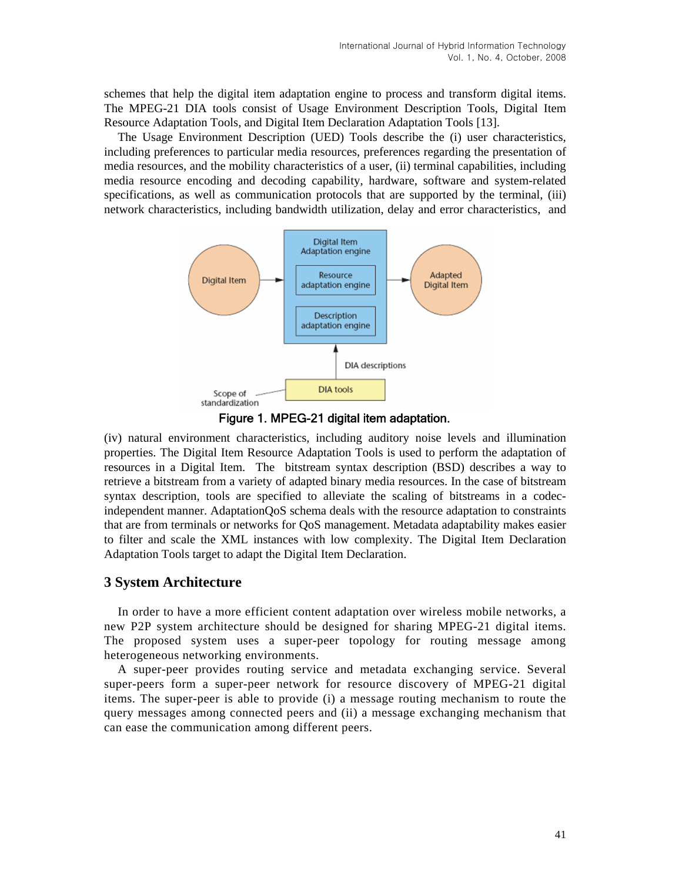schemes that help the digital item adaptation engine to process and transform digital items. The MPEG-21 DIA tools consist of Usage Environment Description Tools, Digital Item Resource Adaptation Tools, and Digital Item Declaration Adaptation Tools [13].

The Usage Environment Description (UED) Tools describe the (i) user characteristics, including preferences to particular media resources, preferences regarding the presentation of media resources, and the mobility characteristics of a user, (ii) terminal capabilities, including media resource encoding and decoding capability, hardware, software and system-related specifications, as well as communication protocols that are supported by the terminal, (iii) network characteristics, including bandwidth utilization, delay and error characteristics, and



Figure 1. MPEG-21 digital item adaptation.

(iv) natural environment characteristics, including auditory noise levels and illumination properties. The Digital Item Resource Adaptation Tools is used to perform the adaptation of resources in a Digital Item. The bitstream syntax description (BSD) describes a way to retrieve a bitstream from a variety of adapted binary media resources. In the case of bitstream syntax description, tools are specified to alleviate the scaling of bitstreams in a codecindependent manner. AdaptationQoS schema deals with the resource adaptation to constraints that are from terminals or networks for QoS management. Metadata adaptability makes easier to filter and scale the XML instances with low complexity. The Digital Item Declaration Adaptation Tools target to adapt the Digital Item Declaration.

# **3 System Architecture**

In order to have a more efficient content adaptation over wireless mobile networks, a new P2P system architecture should be designed for sharing MPEG-21 digital items. The proposed system uses a super-peer topology for routing message among heterogeneous networking environments.

A super-peer provides routing service and metadata exchanging service. Several super-peers form a super-peer network for resource discovery of MPEG-21 digital items. The super-peer is able to provide (i) a message routing mechanism to route the query messages among connected peers and (ii) a message exchanging mechanism that can ease the communication among different peers.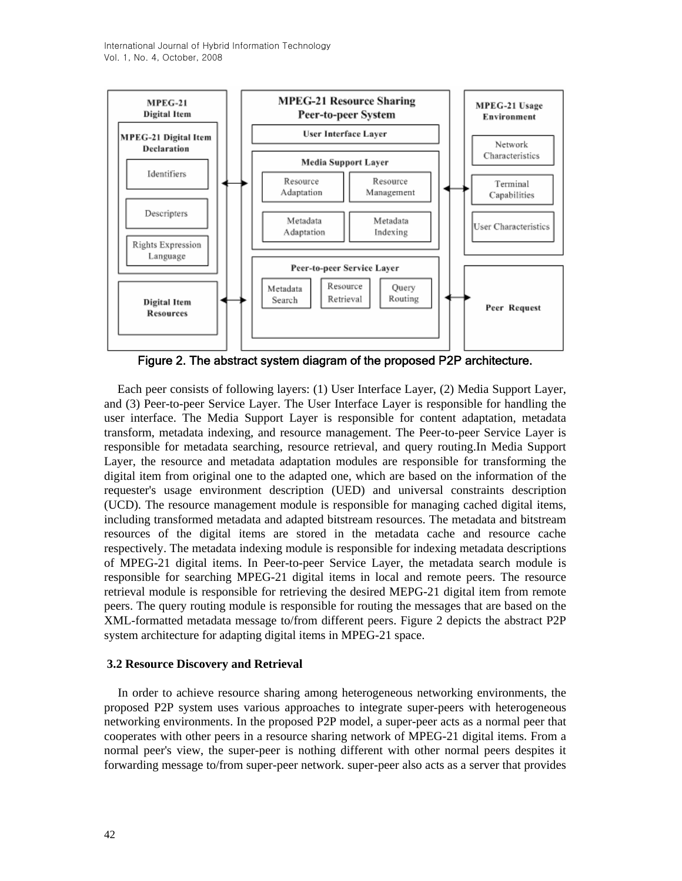International Journal of Hybrid Information Technology Vol. 1, No. 4, October, 2008



Figure 2. The abstract system diagram of the proposed P2P architecture.

Each peer consists of following layers: (1) User Interface Layer, (2) Media Support Layer, and (3) Peer-to-peer Service Layer. The User Interface Layer is responsible for handling the user interface. The Media Support Layer is responsible for content adaptation, metadata transform, metadata indexing, and resource management. The Peer-to-peer Service Layer is responsible for metadata searching, resource retrieval, and query routing.In Media Support Layer, the resource and metadata adaptation modules are responsible for transforming the digital item from original one to the adapted one, which are based on the information of the requester's usage environment description (UED) and universal constraints description (UCD). The resource management module is responsible for managing cached digital items, including transformed metadata and adapted bitstream resources. The metadata and bitstream resources of the digital items are stored in the metadata cache and resource cache respectively. The metadata indexing module is responsible for indexing metadata descriptions of MPEG-21 digital items. In Peer-to-peer Service Layer, the metadata search module is responsible for searching MPEG-21 digital items in local and remote peers. The resource retrieval module is responsible for retrieving the desired MEPG-21 digital item from remote peers. The query routing module is responsible for routing the messages that are based on the XML-formatted metadata message to/from different peers. Figure 2 depicts the abstract P2P system architecture for adapting digital items in MPEG-21 space.

### **3.2 Resource Discovery and Retrieval**

In order to achieve resource sharing among heterogeneous networking environments, the proposed P2P system uses various approaches to integrate super-peers with heterogeneous networking environments. In the proposed P2P model, a super-peer acts as a normal peer that cooperates with other peers in a resource sharing network of MPEG-21 digital items. From a normal peer's view, the super-peer is nothing different with other normal peers despites it forwarding message to/from super-peer network. super-peer also acts as a server that provides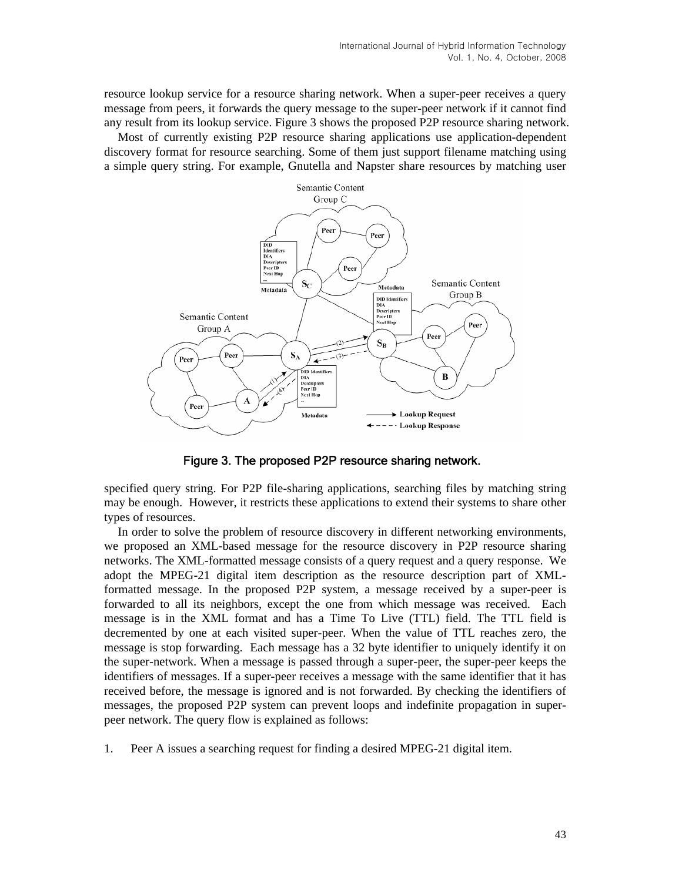resource lookup service for a resource sharing network. When a super-peer receives a query message from peers, it forwards the query message to the super-peer network if it cannot find any result from its lookup service. Figure 3 shows the proposed P2P resource sharing network.

Most of currently existing P2P resource sharing applications use application-dependent discovery format for resource searching. Some of them just support filename matching using a simple query string. For example, Gnutella and Napster share resources by matching user



Figure 3. The proposed P2P resource sharing network.

specified query string. For P2P file-sharing applications, searching files by matching string may be enough. However, it restricts these applications to extend their systems to share other types of resources.

In order to solve the problem of resource discovery in different networking environments, we proposed an XML-based message for the resource discovery in P2P resource sharing networks. The XML-formatted message consists of a query request and a query response. We adopt the MPEG-21 digital item description as the resource description part of XMLformatted message. In the proposed P2P system, a message received by a super-peer is forwarded to all its neighbors, except the one from which message was received. Each message is in the XML format and has a Time To Live (TTL) field. The TTL field is decremented by one at each visited super-peer. When the value of TTL reaches zero, the message is stop forwarding. Each message has a 32 byte identifier to uniquely identify it on the super-network. When a message is passed through a super-peer, the super-peer keeps the identifiers of messages. If a super-peer receives a message with the same identifier that it has received before, the message is ignored and is not forwarded. By checking the identifiers of messages, the proposed P2P system can prevent loops and indefinite propagation in superpeer network. The query flow is explained as follows:

1. Peer A issues a searching request for finding a desired MPEG-21 digital item.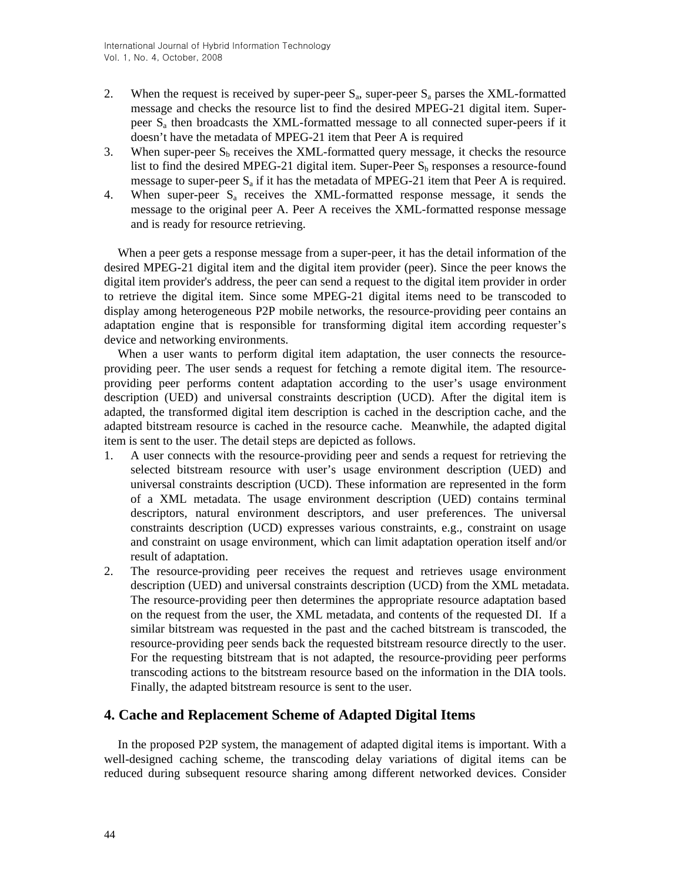- 2. When the request is received by super-peer  $S_a$ , super-peer  $S_a$  parses the XML-formatted message and checks the resource list to find the desired MPEG-21 digital item. Superpeer Sa then broadcasts the XML-formatted message to all connected super-peers if it doesn't have the metadata of MPEG-21 item that Peer A is required
- 3. When super-peer  $S_b$  receives the XML-formatted query message, it checks the resource list to find the desired MPEG-21 digital item. Super-Peer  $S<sub>b</sub>$  responses a resource-found message to super-peer  $S_a$  if it has the metadata of MPEG-21 item that Peer A is required.
- 4. When super-peer  $S_a$  receives the XML-formatted response message, it sends the message to the original peer A. Peer A receives the XML-formatted response message and is ready for resource retrieving.

When a peer gets a response message from a super-peer, it has the detail information of the desired MPEG-21 digital item and the digital item provider (peer). Since the peer knows the digital item provider's address, the peer can send a request to the digital item provider in order to retrieve the digital item. Since some MPEG-21 digital items need to be transcoded to display among heterogeneous P2P mobile networks, the resource-providing peer contains an adaptation engine that is responsible for transforming digital item according requester's device and networking environments.

When a user wants to perform digital item adaptation, the user connects the resourceproviding peer. The user sends a request for fetching a remote digital item. The resourceproviding peer performs content adaptation according to the user's usage environment description (UED) and universal constraints description (UCD). After the digital item is adapted, the transformed digital item description is cached in the description cache, and the adapted bitstream resource is cached in the resource cache. Meanwhile, the adapted digital item is sent to the user. The detail steps are depicted as follows.

- 1. A user connects with the resource-providing peer and sends a request for retrieving the selected bitstream resource with user's usage environment description (UED) and universal constraints description (UCD). These information are represented in the form of a XML metadata. The usage environment description (UED) contains terminal descriptors, natural environment descriptors, and user preferences. The universal constraints description (UCD) expresses various constraints, e.g., constraint on usage and constraint on usage environment, which can limit adaptation operation itself and/or result of adaptation.
- 2. The resource-providing peer receives the request and retrieves usage environment description (UED) and universal constraints description (UCD) from the XML metadata. The resource-providing peer then determines the appropriate resource adaptation based on the request from the user, the XML metadata, and contents of the requested DI. If a similar bitstream was requested in the past and the cached bitstream is transcoded, the resource-providing peer sends back the requested bitstream resource directly to the user. For the requesting bitstream that is not adapted, the resource-providing peer performs transcoding actions to the bitstream resource based on the information in the DIA tools. Finally, the adapted bitstream resource is sent to the user.

# **4. Cache and Replacement Scheme of Adapted Digital Items**

In the proposed P2P system, the management of adapted digital items is important. With a well-designed caching scheme, the transcoding delay variations of digital items can be reduced during subsequent resource sharing among different networked devices. Consider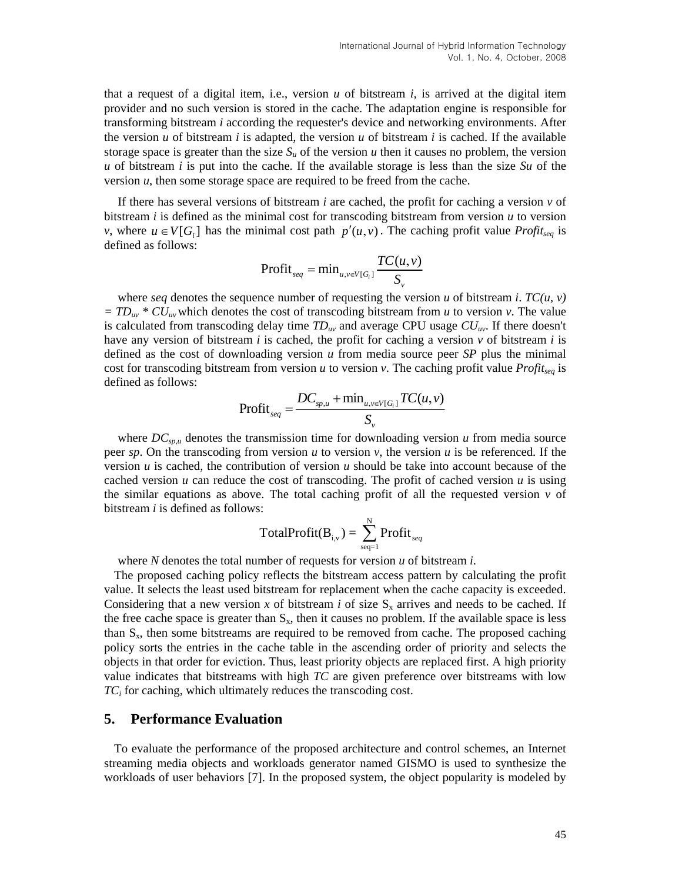that a request of a digital item, i.e., version *u* of bitstream *i,* is arrived at the digital item provider and no such version is stored in the cache. The adaptation engine is responsible for transforming bitstream *i* according the requester's device and networking environments. After the version  $u$  of bitstream  $i$  is adapted, the version  $u$  of bitstream  $i$  is cached. If the available storage space is greater than the size  $S_u$  of the version *u* then it causes no problem, the version *u* of bitstream *i* is put into the cache. If the available storage is less than the size *Su* of the version *u*, then some storage space are required to be freed from the cache.

*v*, where  $u \in V[G_i]$  has the minimal cost path  $p'(u, v)$ . The caching profit value *Profit<sub>seq</sub>* is If there has several versions of bitstream *i* are cached, the profit for caching a version  $\nu$  of bitstream *i* is defined as the minimal cost for transcoding bitstream from version *u* to version defined as follows:

$$
Profit_{seq} = \min_{u,v \in V[G_i]} \frac{TC(u,v)}{S_v}
$$

where *seq* denotes the sequence number of requesting the version *u* of bitstream *i*.  $TC(u, v)$  $= TD_{uv} * CU_{uv}$  which denotes the cost of transcoding bitstream from *u* to version *v*. The value is calculated from transcoding delay time  $TD_{uv}$  and average CPU usage  $CU_{uv}$ . If there doesn't have any version of bitstream *i* is cached, the profit for caching a version  $\nu$  of bitstream *i* is defined as the cost of downloading version *u* from media source peer *SP* plus the minimal cost for transcoding bitstream from version *u* to version *v*. The caching profit value *Profitseq* is defined as follows:

$$
\text{Profit}_{seq} = \frac{DC_{sp,u} + \min_{u,v \in V[G_i]} TC(u,v)}{S_v}
$$

where  $DC_{sp,u}$  denotes the transmission time for downloading version  $u$  from media source peer *sp*. On the transcoding from version *u* to version *v*, the version *u* is be referenced. If the version *u* is cached, the contribution of version *u* should be take into account because of the cached version  $u$  can reduce the cost of transcoding. The profit of cached version  $u$  is using the similar equations as above. The total caching profit of all the requested version  $\nu$  of bitstream *i* is defined as follows:

$$
TotalProfit(B_{i,v}) = \sum_{seq=1}^{N} Profit_{seq}
$$

where *N* denotes the total number of requests for version *u* of bitstream *i*.

The proposed caching policy reflects the bitstream access pattern by calculating the profit value. It selects the least used bitstream for replacement when the cache capacity is exceeded. Considering that a new version x of bitstream *i* of size  $S_x$  arrives and needs to be cached. If the free cache space is greater than  $S_x$ , then it causes no problem. If the available space is less than  $S<sub>x</sub>$ , then some bitstreams are required to be removed from cache. The proposed caching policy sorts the entries in the cache table in the ascending order of priority and selects the objects in that order for eviction. Thus, least priority objects are replaced first. A high priority value indicates that bitstreams with high *TC* are given preference over bitstreams with low *TCi* for caching, which ultimately reduces the transcoding cost.

## **5. Performance Evaluation**

To evaluate the performance of the proposed architecture and control schemes, an Internet streaming media objects and workloads generator named GISMO is used to synthesize the workloads of user behaviors [7]. In the proposed system, the object popularity is modeled by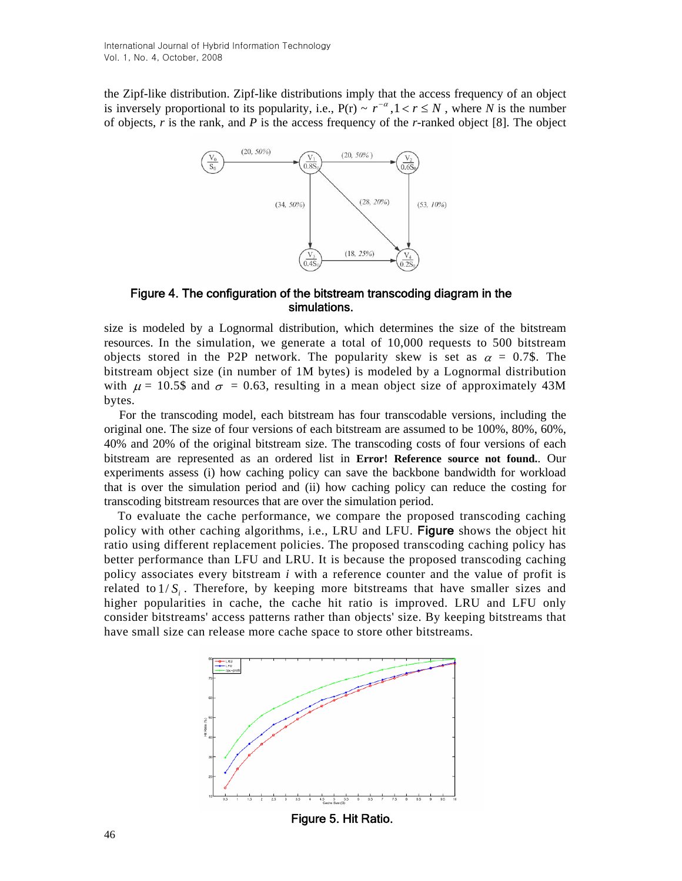is inversely proportional to its popularity, i.e.,  $P(r) \sim r^{-\alpha}, 1 < r \le N$ , where *N* is the number the Zipf-like distribution. Zipf-like distributions imply that the access frequency of an object of objects, *r* is the rank, and *P* is the access frequency of the *r*-ranked object [8]. The object



Figure 4. The configuration of the bitstream transcoding diagram in the simulations.

size is modeled by a Lognormal distribution, which determines the size of the bitstream resources. In the simulation, we generate a total of 10,000 requests to 500 bitstream objects stored in the P2P network. The popularity skew is set as  $\alpha = 0.7$ \$. The bitstream object size (in number of 1M bytes) is modeled by a Lognormal distribution with  $\mu = 10.5\$  and  $\sigma = 0.63$ , resulting in a mean object size of approximately 43M bytes.

For the transcoding model, each bitstream has four transcodable versions, including the original one. The size of four versions of each bitstream are assumed to be 100%, 80%, 60%, 40% and 20% of the original bitstream size. The transcoding costs of four versions of each bitstream are represented as an ordered list in **Error! Reference source not found.**. Our experiments assess (i) how caching policy can save the backbone bandwidth for workload that is over the simulation period and (ii) how caching policy can reduce the costing for transcoding bitstream resources that are over the simulation period.

To evaluate the cache performance, we compare the proposed transcoding caching policy with other caching algorithms, i.e., LRU and LFU. Figure shows the object hit ratio using different replacement policies. The proposed transcoding caching policy has better performance than LFU and LRU. It is because the proposed transcoding caching policy associates every bitstream *i* with a reference counter and the value of profit is related to  $1/S_i$ . Therefore, by keeping more bitstreams that have smaller sizes and higher popularities in cache, the cache hit ratio is improved. LRU and LFU only consider bitstreams' access patterns rather than objects' size. By keeping bitstreams that have small size can release more cache space to store other bitstreams.



Figure 5. Hit Ratio.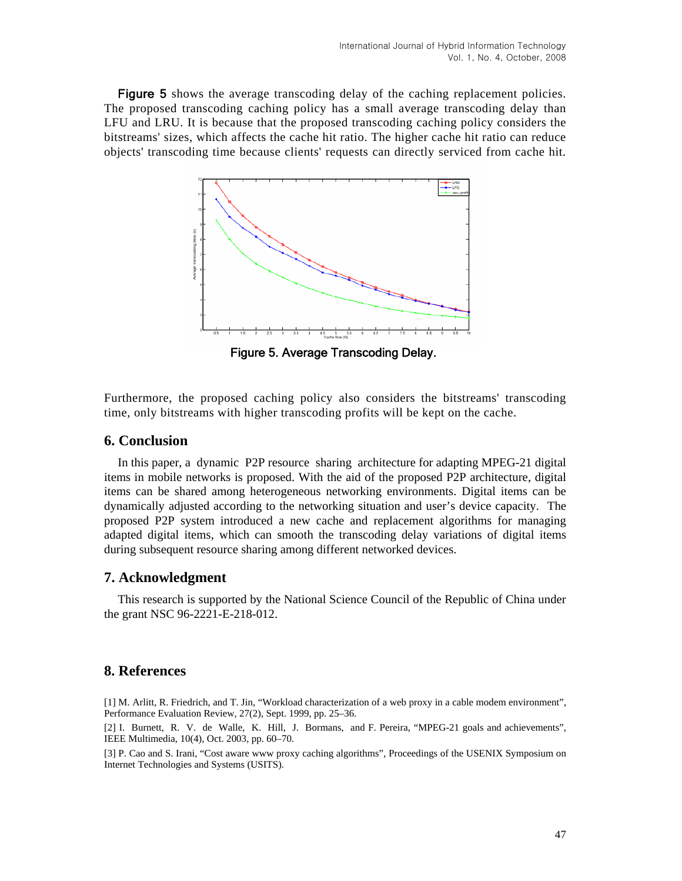Figure 5 shows the average transcoding delay of the caching replacement policies. The proposed transcoding caching policy has a small average transcoding delay than LFU and LRU. It is because that the proposed transcoding caching policy considers the bitstreams' sizes, which affects the cache hit ratio. The higher cache hit ratio can reduce objects' transcoding time because clients' requests can directly serviced from cache hit.



Figure 5. Average Transcoding Delay.

Furthermore, the proposed caching policy also considers the bitstreams' transcoding time, only bitstreams with higher transcoding profits will be kept on the cache.

# **6. Conclusion**

In this paper, a dynamic P2P resource sharing architecture for adapting MPEG-21 digital items in mobile networks is proposed. With the aid of the proposed P2P architecture, digital items can be shared among heterogeneous networking environments. Digital items can be dynamically adjusted according to the networking situation and user's device capacity. The proposed P2P system introduced a new cache and replacement algorithms for managing adapted digital items, which can smooth the transcoding delay variations of digital items during subsequent resource sharing among different networked devices.

## **7. Acknowledgment**

This research is supported by the National Science Council of the Republic of China under the grant NSC 96-2221-E-218-012.

## **8. References**

[1] M. Arlitt, R. Friedrich, and T. Jin, "Workload characterization of a web proxy in a cable modem environment", Performance Evaluation Review, 27(2), Sept. 1999, pp. 25–36.

[2] I. Burnett, R. V. de Walle, K. Hill, J. Bormans, and F. Pereira, "MPEG-21 goals and achievements", IEEE Multimedia, 10(4), Oct. 2003, pp. 60–70.

[3] P. Cao and S. Irani, "Cost aware www proxy caching algorithms", Proceedings of the USENIX Symposium on Internet Technologies and Systems (USITS).